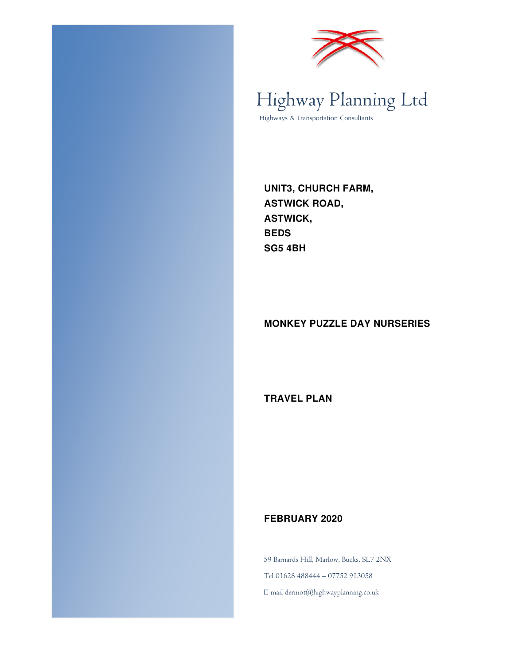



### Highway Planning Ltd Highways & Transportation Consultants

**UNIT3, CHURCH FARM, ASTWICK ROAD, ASTWICK, BEDS SG5 4BH** 

#### **MONKEY PUZZLE DAY NURSERIES**

**TRAVEL PLAN** 

#### **FEBRUARY 2020**

59 Barnards Hill, Marlow, Bucks, SL7 2NX Tel 01628 488444 – 07752 913058 E-mail dermot@highwayplanning.co.uk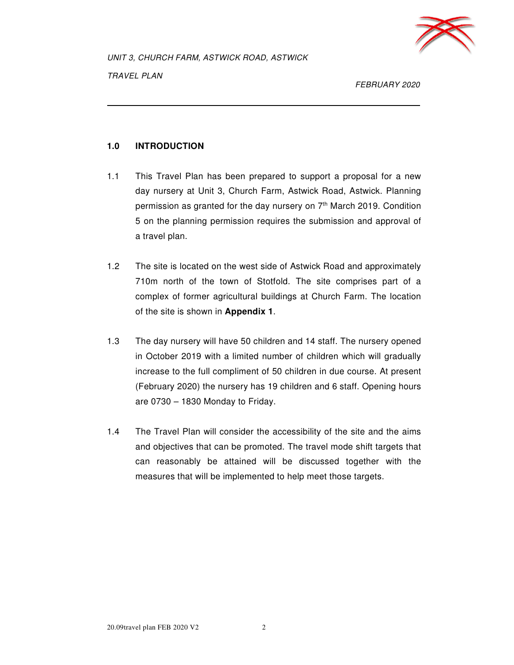

FEBRUARY 2020

#### **1.0 INTRODUCTION**

- 1.1 This Travel Plan has been prepared to support a proposal for a new day nursery at Unit 3, Church Farm, Astwick Road, Astwick. Planning permission as granted for the day nursery on  $7<sup>th</sup>$  March 2019. Condition 5 on the planning permission requires the submission and approval of a travel plan.
- 1.2 The site is located on the west side of Astwick Road and approximately 710m north of the town of Stotfold. The site comprises part of a complex of former agricultural buildings at Church Farm. The location of the site is shown in **Appendix 1**.
- 1.3 The day nursery will have 50 children and 14 staff. The nursery opened in October 2019 with a limited number of children which will gradually increase to the full compliment of 50 children in due course. At present (February 2020) the nursery has 19 children and 6 staff. Opening hours are  $0730 - 1830$  Monday to Friday.
- 1.4 The Travel Plan will consider the accessibility of the site and the aims and objectives that can be promoted. The travel mode shift targets that can reasonably be attained will be discussed together with the measures that will be implemented to help meet those targets.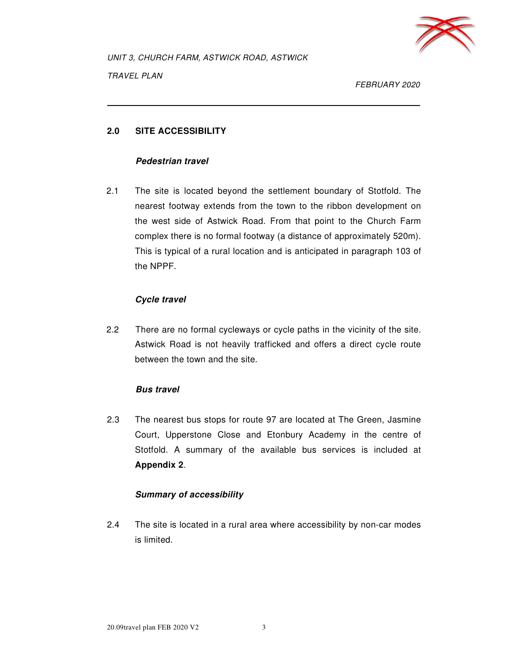

FEBRUARY 2020

#### **2.0 SITE ACCESSIBILITY**

#### **Pedestrian travel**

2.1 The site is located beyond the settlement boundary of Stotfold. The nearest footway extends from the town to the ribbon development on the west side of Astwick Road. From that point to the Church Farm complex there is no formal footway (a distance of approximately 520m). This is typical of a rural location and is anticipated in paragraph 103 of the NPPF.

#### **Cycle travel**

2.2 There are no formal cycleways or cycle paths in the vicinity of the site. Astwick Road is not heavily trafficked and offers a direct cycle route between the town and the site.

#### **Bus travel**

2.3 The nearest bus stops for route 97 are located at The Green, Jasmine Court, Upperstone Close and Etonbury Academy in the centre of Stotfold. A summary of the available bus services is included at **Appendix 2**.

#### **Summary of accessibility**

2.4 The site is located in a rural area where accessibility by non-car modes is limited.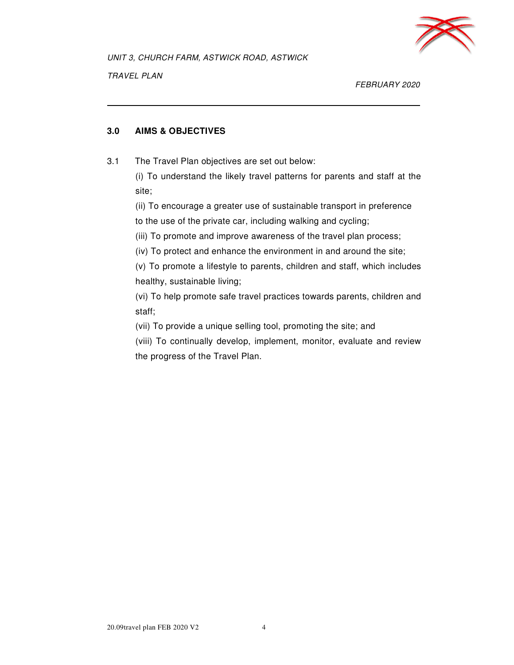

FEBRUARY 2020

#### **3.0 AIMS & OBJECTIVES**

3.1 The Travel Plan objectives are set out below:

 (i) To understand the likely travel patterns for parents and staff at the site;

 (ii) To encourage a greater use of sustainable transport in preference to the use of the private car, including walking and cycling;

(iii) To promote and improve awareness of the travel plan process;

(iv) To protect and enhance the environment in and around the site;

(v) To promote a lifestyle to parents, children and staff, which includes healthy, sustainable living;

(vi) To help promote safe travel practices towards parents, children and staff;

(vii) To provide a unique selling tool, promoting the site; and

 (viii) To continually develop, implement, monitor, evaluate and review the progress of the Travel Plan.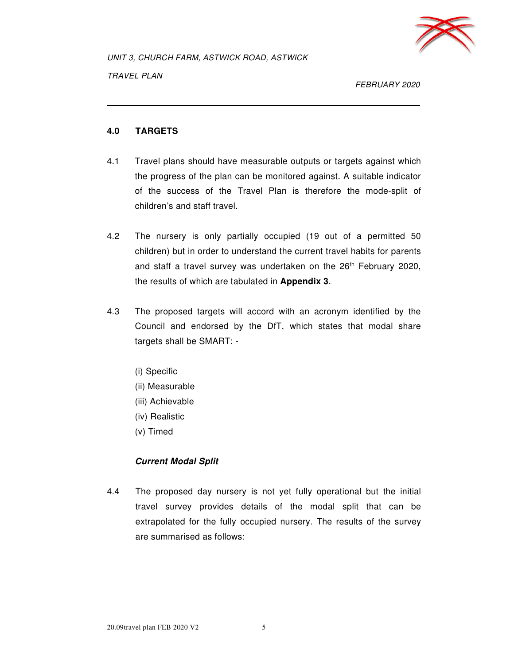

TRAVEL PLAN

FEBRUARY 2020

#### **4.0 TARGETS**

- 4.1 Travel plans should have measurable outputs or targets against which the progress of the plan can be monitored against. A suitable indicator of the success of the Travel Plan is therefore the mode-split of children's and staff travel.
- 4.2 The nursery is only partially occupied (19 out of a permitted 50 children) but in order to understand the current travel habits for parents and staff a travel survey was undertaken on the 26<sup>th</sup> February 2020, the results of which are tabulated in **Appendix 3**.
- 4.3 The proposed targets will accord with an acronym identified by the Council and endorsed by the DfT, which states that modal share targets shall be SMART: -
	- (i) Specific
	- (ii) Measurable
	- (iii) Achievable
	- (iv) Realistic
	- (v) Timed

#### **Current Modal Split**

4.4 The proposed day nursery is not yet fully operational but the initial travel survey provides details of the modal split that can be extrapolated for the fully occupied nursery. The results of the survey are summarised as follows: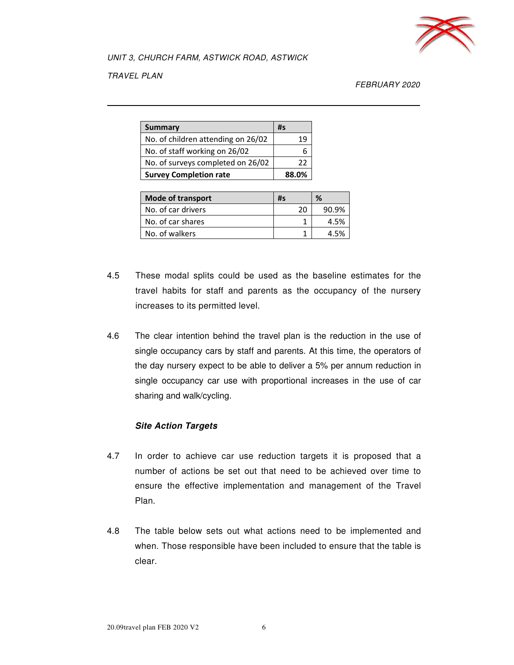

TRAVEL PLAN

FEBRUARY 2020

| <b>Summary</b>                     | #s    |
|------------------------------------|-------|
| No. of children attending on 26/02 |       |
| No. of staff working on 26/02      |       |
| No. of surveys completed on 26/02  | つつ    |
| <b>Survey Completion rate</b>      | 88.0% |

| Mode of transport  | #s | %     |
|--------------------|----|-------|
| No. of car drivers | 20 | 90.9% |
| No. of car shares  |    | 4.5%  |
| No. of walkers     |    | 4 5%  |

- 4.5 These modal splits could be used as the baseline estimates for the travel habits for staff and parents as the occupancy of the nursery increases to its permitted level.
- 4.6 The clear intention behind the travel plan is the reduction in the use of single occupancy cars by staff and parents. At this time, the operators of the day nursery expect to be able to deliver a 5% per annum reduction in single occupancy car use with proportional increases in the use of car sharing and walk/cycling.

#### **Site Action Targets**

- 4.7 In order to achieve car use reduction targets it is proposed that a number of actions be set out that need to be achieved over time to ensure the effective implementation and management of the Travel Plan.
- 4.8 The table below sets out what actions need to be implemented and when. Those responsible have been included to ensure that the table is clear.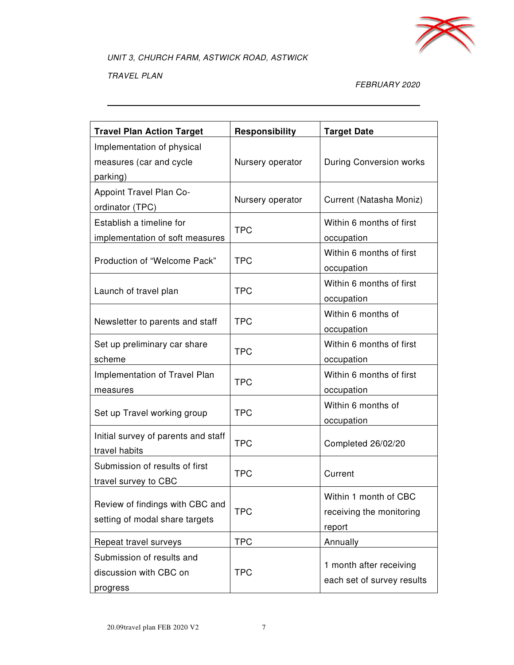

TRAVEL PLAN

#### FEBRUARY 2020

| <b>Travel Plan Action Target</b>                                  | Responsibility   | <b>Target Date</b>                                          |
|-------------------------------------------------------------------|------------------|-------------------------------------------------------------|
| Implementation of physical<br>measures (car and cycle<br>parking) | Nursery operator | <b>During Conversion works</b>                              |
| Appoint Travel Plan Co-<br>ordinator (TPC)                        | Nursery operator | Current (Natasha Moniz)                                     |
| Establish a timeline for<br>implementation of soft measures       | <b>TPC</b>       | Within 6 months of first<br>occupation                      |
| Production of "Welcome Pack"                                      | <b>TPC</b>       | Within 6 months of first<br>occupation                      |
| Launch of travel plan                                             | <b>TPC</b>       | Within 6 months of first<br>occupation                      |
| Newsletter to parents and staff                                   | <b>TPC</b>       | Within 6 months of<br>occupation                            |
| Set up preliminary car share<br>scheme                            | <b>TPC</b>       | Within 6 months of first<br>occupation                      |
| Implementation of Travel Plan<br>measures                         | <b>TPC</b>       | Within 6 months of first<br>occupation                      |
| Set up Travel working group                                       | <b>TPC</b>       | Within 6 months of<br>occupation                            |
| Initial survey of parents and staff<br>travel habits              | <b>TPC</b>       | Completed 26/02/20                                          |
| Submission of results of first<br>travel survey to CBC            | <b>TPC</b>       | Current                                                     |
| Review of findings with CBC and<br>setting of modal share targets | <b>TPC</b>       | Within 1 month of CBC<br>receiving the monitoring<br>report |
| Repeat travel surveys                                             | <b>TPC</b>       | Annually                                                    |
| Submission of results and<br>discussion with CBC on<br>progress   | <b>TPC</b>       | 1 month after receiving<br>each set of survey results       |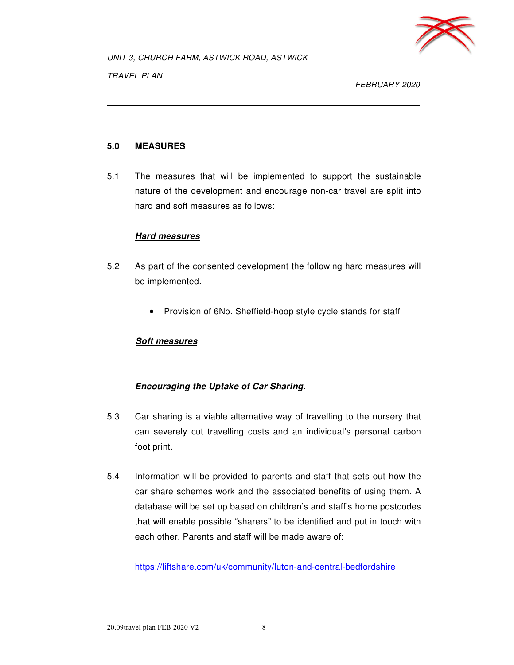

FEBRUARY 2020

#### **5.0 MEASURES**

5.1 The measures that will be implemented to support the sustainable nature of the development and encourage non-car travel are split into hard and soft measures as follows:

#### **Hard measures**

- 5.2 As part of the consented development the following hard measures will be implemented.
	- Provision of 6No. Sheffield-hoop style cycle stands for staff

#### **Soft measures**

#### **Encouraging the Uptake of Car Sharing.**

- 5.3 Car sharing is a viable alternative way of travelling to the nursery that can severely cut travelling costs and an individual's personal carbon foot print.
- 5.4 Information will be provided to parents and staff that sets out how the car share schemes work and the associated benefits of using them. A database will be set up based on children's and staff's home postcodes that will enable possible "sharers" to be identified and put in touch with each other. Parents and staff will be made aware of:

https://liftshare.com/uk/community/luton-and-central-bedfordshire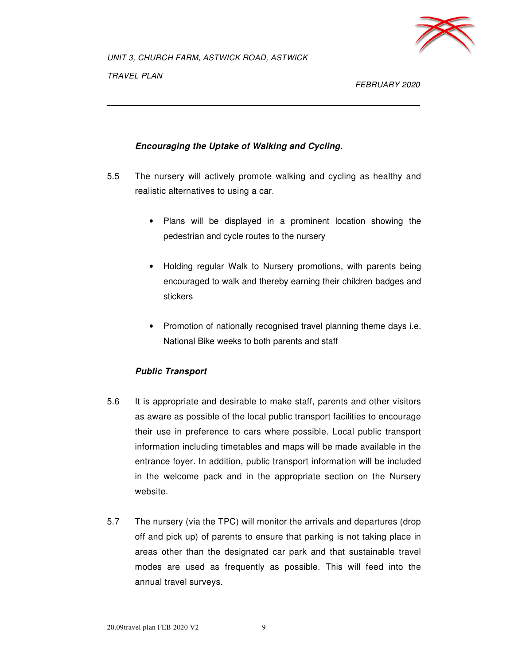

FEBRUARY 2020

#### **Encouraging the Uptake of Walking and Cycling.**

- 5.5 The nursery will actively promote walking and cycling as healthy and realistic alternatives to using a car.
	- Plans will be displayed in a prominent location showing the pedestrian and cycle routes to the nursery
	- Holding regular Walk to Nursery promotions, with parents being encouraged to walk and thereby earning their children badges and stickers
	- Promotion of nationally recognised travel planning theme days i.e. National Bike weeks to both parents and staff

#### **Public Transport**

- 5.6 It is appropriate and desirable to make staff, parents and other visitors as aware as possible of the local public transport facilities to encourage their use in preference to cars where possible. Local public transport information including timetables and maps will be made available in the entrance foyer. In addition, public transport information will be included in the welcome pack and in the appropriate section on the Nursery website.
- 5.7 The nursery (via the TPC) will monitor the arrivals and departures (drop off and pick up) of parents to ensure that parking is not taking place in areas other than the designated car park and that sustainable travel modes are used as frequently as possible. This will feed into the annual travel surveys.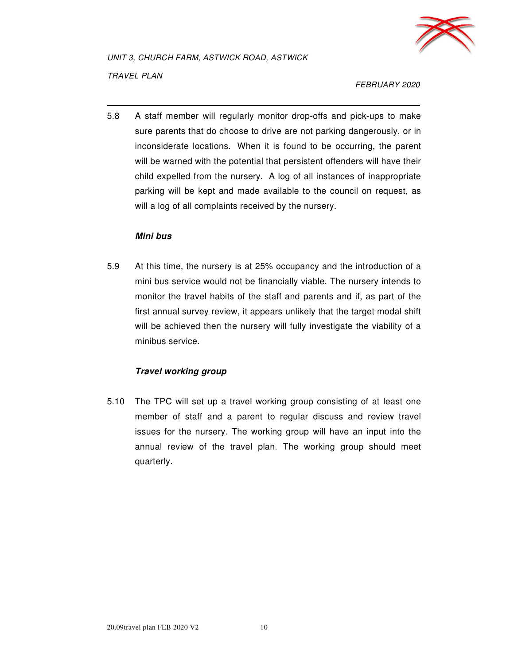

TRAVEL PLAN

FEBRUARY 2020

5.8 A staff member will regularly monitor drop-offs and pick-ups to make sure parents that do choose to drive are not parking dangerously, or in inconsiderate locations. When it is found to be occurring, the parent will be warned with the potential that persistent offenders will have their child expelled from the nursery. A log of all instances of inappropriate parking will be kept and made available to the council on request, as will a log of all complaints received by the nursery.

#### **Mini bus**

5.9 At this time, the nursery is at 25% occupancy and the introduction of a mini bus service would not be financially viable. The nursery intends to monitor the travel habits of the staff and parents and if, as part of the first annual survey review, it appears unlikely that the target modal shift will be achieved then the nursery will fully investigate the viability of a minibus service.

#### **Travel working group**

5.10 The TPC will set up a travel working group consisting of at least one member of staff and a parent to regular discuss and review travel issues for the nursery. The working group will have an input into the annual review of the travel plan. The working group should meet quarterly.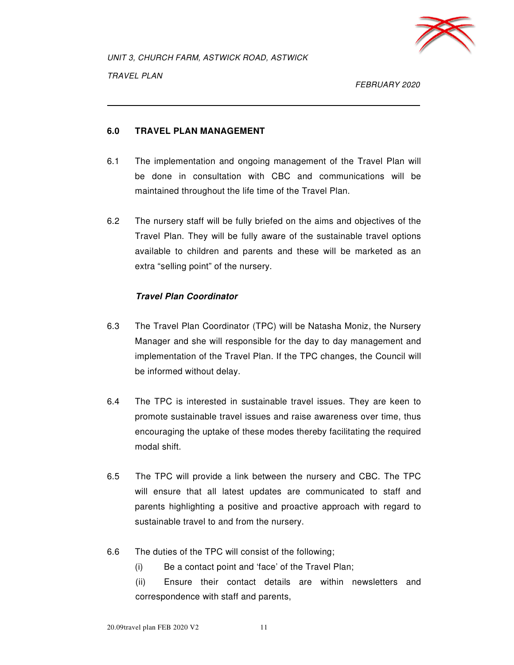

FEBRUARY 2020

#### **6.0 TRAVEL PLAN MANAGEMENT**

- 6.1 The implementation and ongoing management of the Travel Plan will be done in consultation with CBC and communications will be maintained throughout the life time of the Travel Plan.
- 6.2 The nursery staff will be fully briefed on the aims and objectives of the Travel Plan. They will be fully aware of the sustainable travel options available to children and parents and these will be marketed as an extra "selling point" of the nursery.

#### **Travel Plan Coordinator**

- 6.3 The Travel Plan Coordinator (TPC) will be Natasha Moniz, the Nursery Manager and she will responsible for the day to day management and implementation of the Travel Plan. If the TPC changes, the Council will be informed without delay.
- 6.4 The TPC is interested in sustainable travel issues. They are keen to promote sustainable travel issues and raise awareness over time, thus encouraging the uptake of these modes thereby facilitating the required modal shift.
- 6.5 The TPC will provide a link between the nursery and CBC. The TPC will ensure that all latest updates are communicated to staff and parents highlighting a positive and proactive approach with regard to sustainable travel to and from the nursery.
- 6.6 The duties of the TPC will consist of the following;

(i) Be a contact point and 'face' of the Travel Plan;

 (ii) Ensure their contact details are within newsletters and correspondence with staff and parents,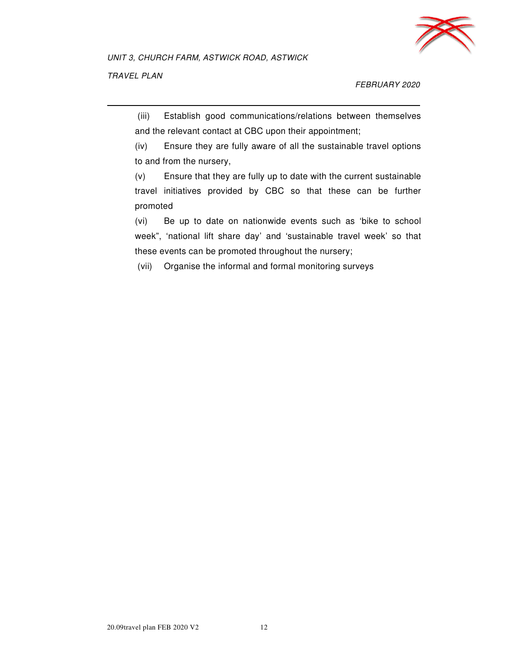

#### FEBRUARY 2020

 (iii) Establish good communications/relations between themselves and the relevant contact at CBC upon their appointment;

 (iv) Ensure they are fully aware of all the sustainable travel options to and from the nursery,

 (v) Ensure that they are fully up to date with the current sustainable travel initiatives provided by CBC so that these can be further promoted

 (vi) Be up to date on nationwide events such as 'bike to school week", 'national lift share day' and 'sustainable travel week' so that these events can be promoted throughout the nursery;

(vii) Organise the informal and formal monitoring surveys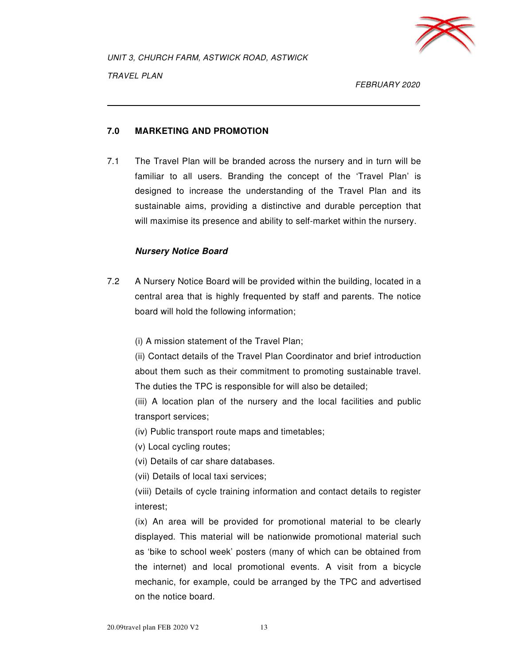

FEBRUARY 2020

#### **7.0 MARKETING AND PROMOTION**

7.1 The Travel Plan will be branded across the nursery and in turn will be familiar to all users. Branding the concept of the 'Travel Plan' is designed to increase the understanding of the Travel Plan and its sustainable aims, providing a distinctive and durable perception that will maximise its presence and ability to self-market within the nursery.

#### **Nursery Notice Board**

7.2 A Nursery Notice Board will be provided within the building, located in a central area that is highly frequented by staff and parents. The notice board will hold the following information;

(i) A mission statement of the Travel Plan;

 (ii) Contact details of the Travel Plan Coordinator and brief introduction about them such as their commitment to promoting sustainable travel. The duties the TPC is responsible for will also be detailed;

 (iii) A location plan of the nursery and the local facilities and public transport services;

(iv) Public transport route maps and timetables;

(v) Local cycling routes;

(vi) Details of car share databases.

(vii) Details of local taxi services;

 (viii) Details of cycle training information and contact details to register interest;

 (ix) An area will be provided for promotional material to be clearly displayed. This material will be nationwide promotional material such as 'bike to school week' posters (many of which can be obtained from the internet) and local promotional events. A visit from a bicycle mechanic, for example, could be arranged by the TPC and advertised on the notice board.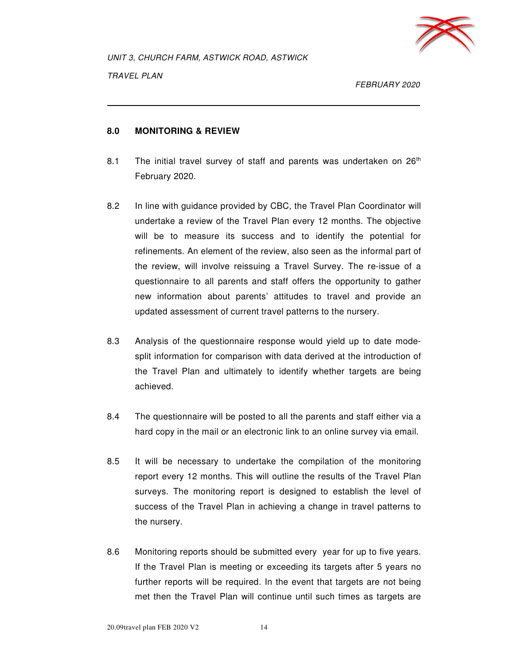

FEBRUARY 2020

#### **8.0 MONITORING & REVIEW**

- 8.1 The initial travel survey of staff and parents was undertaken on  $26<sup>th</sup>$ February 2020.
- 8.2 In line with guidance provided by CBC, the Travel Plan Coordinator will undertake a review of the Travel Plan every 12 months. The objective will be to measure its success and to identify the potential for refinements. An element of the review, also seen as the informal part of the review, will involve reissuing a Travel Survey. The re-issue of a questionnaire to all parents and staff offers the opportunity to gather new information about parents' attitudes to travel and provide an updated assessment of current travel patterns to the nursery.
- 8.3 Analysis of the questionnaire response would yield up to date modesplit information for comparison with data derived at the introduction of the Travel Plan and ultimately to identify whether targets are being achieved.
- 8.4 The questionnaire will be posted to all the parents and staff either via a hard copy in the mail or an electronic link to an online survey via email.
- 8.5 It will be necessary to undertake the compilation of the monitoring report every 12 months. This will outline the results of the Travel Plan surveys. The monitoring report is designed to establish the level of success of the Travel Plan in achieving a change in travel patterns to the nursery.
- 8.6 Monitoring reports should be submitted every year for up to five years. If the Travel Plan is meeting or exceeding its targets after 5 years no further reports will be required. In the event that targets are not being met then the Travel Plan will continue until such times as targets are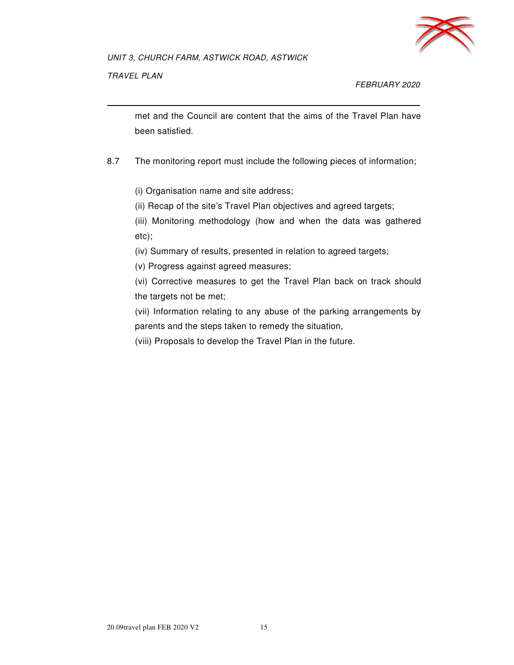

TRAVEL PLAN

FEBRUARY 2020

met and the Council are content that the aims of the Travel Plan have been satisfied.

8.7 The monitoring report must include the following pieces of information;

(i) Organisation name and site address;

(ii) Recap of the site's Travel Plan objectives and agreed targets;

 (iii) Monitoring methodology (how and when the data was gathered etc);

(iv) Summary of results, presented in relation to agreed targets;

(v) Progress against agreed measures;

 (vi) Corrective measures to get the Travel Plan back on track should the targets not be met;

 (vii) Information relating to any abuse of the parking arrangements by parents and the steps taken to remedy the situation,

(viii) Proposals to develop the Travel Plan in the future.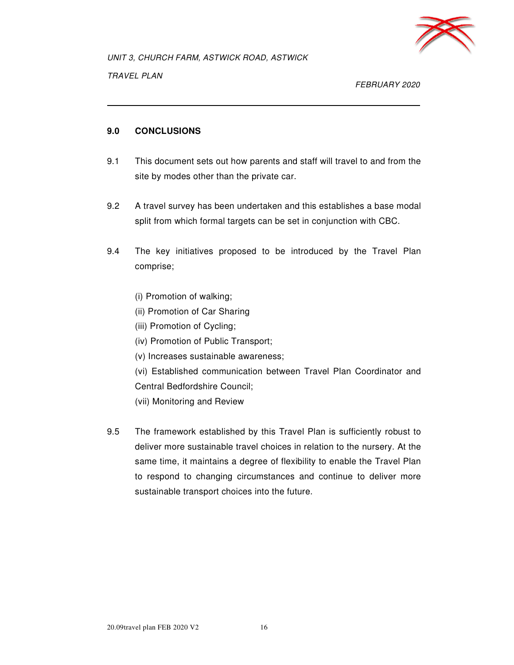

FEBRUARY 2020

#### **9.0 CONCLUSIONS**

- 9.1 This document sets out how parents and staff will travel to and from the site by modes other than the private car.
- 9.2 A travel survey has been undertaken and this establishes a base modal split from which formal targets can be set in conjunction with CBC.
- 9.4 The key initiatives proposed to be introduced by the Travel Plan comprise;
	- (i) Promotion of walking;
	- (ii) Promotion of Car Sharing
	- (iii) Promotion of Cycling;
	- (iv) Promotion of Public Transport;
	- (v) Increases sustainable awareness;
	- (vi) Established communication between Travel Plan Coordinator and Central Bedfordshire Council;
	- (vii) Monitoring and Review
- 9.5 The framework established by this Travel Plan is sufficiently robust to deliver more sustainable travel choices in relation to the nursery. At the same time, it maintains a degree of flexibility to enable the Travel Plan to respond to changing circumstances and continue to deliver more sustainable transport choices into the future.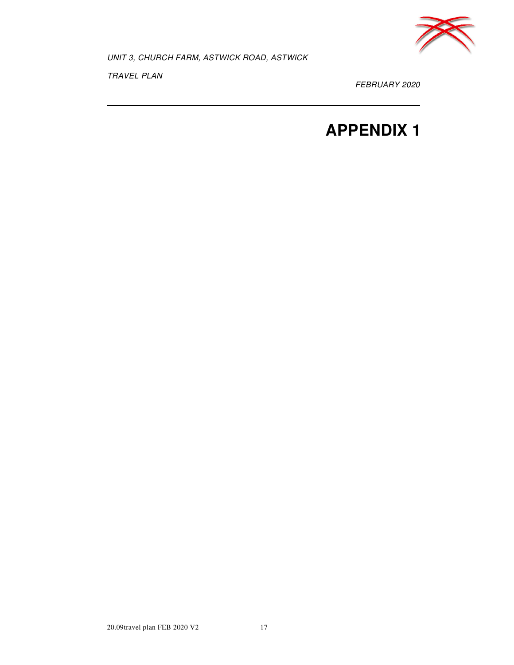

TRAVEL PLAN

FEBRUARY 2020

## **APPENDIX 1**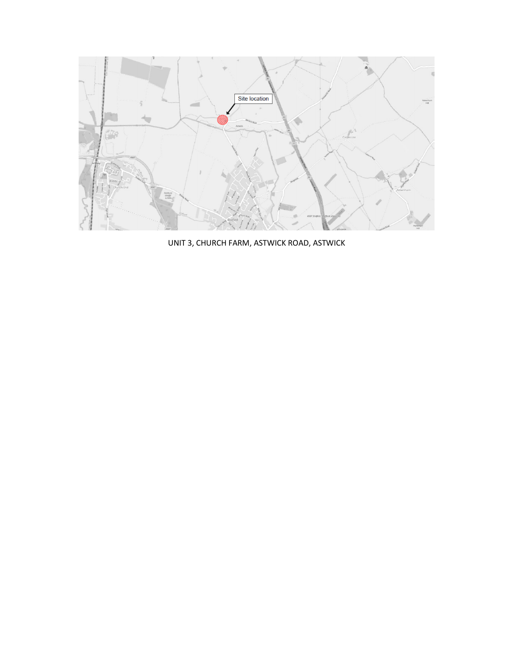

UNIT 3, CHURCH FARM, ASTWICK ROAD, ASTWICK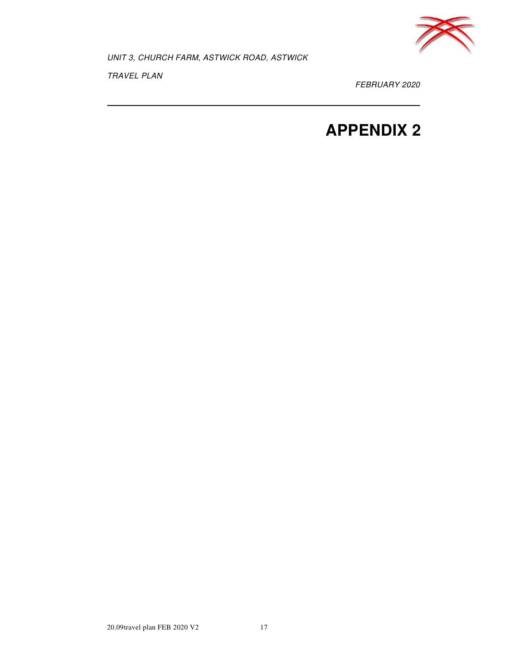

TRAVEL PLAN

FEBRUARY 2020

## **APPENDIX 2**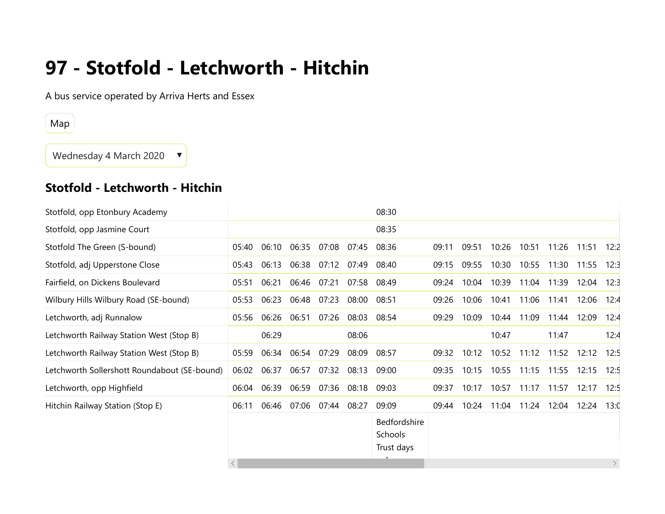# **97 - Stotfold - Letchworth - Hitchin**

A bus service operated by Arriva Herts and Essex

Map

Wednesday 4 March 2020 ▼

### **Stotfold - Letchworth - Hitchin**

|       |           |       |       |       | 08:30                                 |       |       |       |       |       |       |                        |
|-------|-----------|-------|-------|-------|---------------------------------------|-------|-------|-------|-------|-------|-------|------------------------|
|       |           |       |       |       | 08:35                                 |       |       |       |       |       |       |                        |
| 05:40 | 06:10     | 06:35 | 07:08 | 07:45 | 08:36                                 | 09:11 | 09:51 | 10:26 | 10:51 | 11:26 | 11:51 | 12:2                   |
| 05:43 | 06:13     | 06:38 | 07:12 | 07:49 | 08:40                                 | 09:15 | 09:55 | 10:30 | 10:55 | 11:30 | 11:55 | 12:3                   |
| 05:51 | 06:21     | 06:46 | 07:21 | 07:58 | 08:49                                 | 09:24 | 10:04 | 10:39 | 11:04 | 11:39 | 12:04 | 12:3                   |
| 05:53 | 06:23     | 06:48 | 07:23 | 08:00 | 08:51                                 | 09:26 | 10:06 | 10:41 | 11:06 | 11:41 | 12:06 | 12:4                   |
| 05:56 | 06:26     | 06:51 | 07:26 | 08:03 | 08:54                                 | 09:29 | 10:09 | 10:44 | 11:09 | 11:44 | 12:09 | 12:4                   |
|       | 06:29     |       |       | 08:06 |                                       |       |       | 10:47 |       | 11:47 |       | 12:4                   |
| 05:59 | 06:34     | 06:54 | 07:29 | 08:09 | 08:57                                 | 09:32 | 10:12 | 10:52 | 11:12 | 11:52 | 12:12 | 12:5                   |
| 06:02 | 06:37     | 06:57 | 07:32 | 08:13 | 09:00                                 | 09:35 | 10:15 | 10:55 | 11:15 | 11:55 | 12:15 | 12:5                   |
| 06:04 | 06:39     | 06:59 | 07:36 | 08:18 | 09:03                                 | 09:37 | 10:17 | 10:57 | 11:17 | 11:57 | 12:17 | 12:5                   |
| 06:11 | 06:46     | 07:06 | 07:44 | 08:27 | 09:09                                 | 09:44 | 10:24 | 11:04 | 11:24 | 12:04 | 12:24 | 13:0                   |
|       |           |       |       |       | Bedfordshire<br>Schools<br>Trust days |       |       |       |       |       |       | $\left. \right\rangle$ |
|       | $\langle$ |       |       |       |                                       |       |       |       |       |       |       |                        |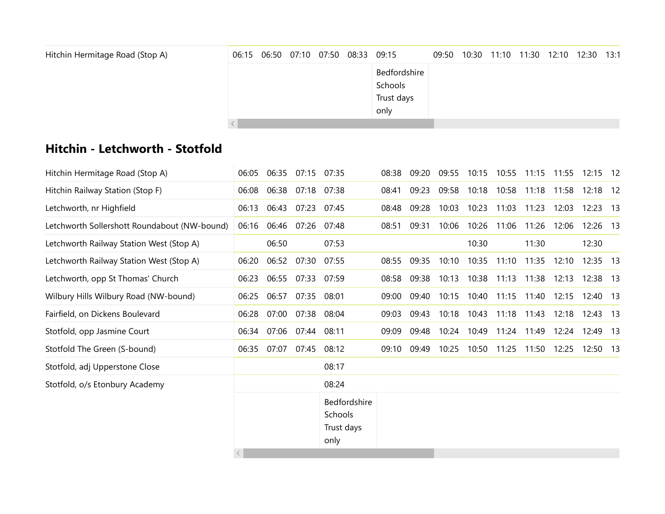| Hitchin Hermitage Road (Stop A) |  |  | 06:15 06:50 07:10 07:50 08:33 09:15 |              | 09:50 10:30 11:10 11:30 12:10 12:30 13:1 |  |  |  |
|---------------------------------|--|--|-------------------------------------|--------------|------------------------------------------|--|--|--|
|                                 |  |  |                                     | Bedfordshire |                                          |  |  |  |
|                                 |  |  |                                     | Schools      |                                          |  |  |  |
|                                 |  |  |                                     | Trust days   |                                          |  |  |  |
|                                 |  |  |                                     | only         |                                          |  |  |  |
|                                 |  |  |                                     |              |                                          |  |  |  |

### **Hitchin - Letchworth - Stotfold**

| Hitchin Hermitage Road (Stop A)              | 06:05 | 06:35 | 07:15             | 07:35                                         | 08:38 | 09:20 | 09:55 | 10:15 | 10:55 | 11:15 | 11:55 | $12:15$ 12 |      |
|----------------------------------------------|-------|-------|-------------------|-----------------------------------------------|-------|-------|-------|-------|-------|-------|-------|------------|------|
| Hitchin Railway Station (Stop F)             | 06:08 |       | 06:38 07:18 07:38 |                                               | 08:41 | 09:23 | 09:58 | 10:18 | 10:58 | 11:18 | 11:58 | 12:18 12   |      |
| Letchworth, nr Highfield                     | 06:13 | 06:43 | 07:23             | 07:45                                         | 08:48 | 09:28 | 10:03 | 10:23 | 11:03 | 11:23 | 12:03 | 12:23      | - 13 |
| Letchworth Sollershott Roundabout (NW-bound) | 06:16 |       | 06:46 07:26       | 07:48                                         | 08:51 | 09:31 | 10:06 | 10:26 | 11:06 | 11:26 | 12:06 | 12:26 13   |      |
| Letchworth Railway Station West (Stop A)     |       | 06:50 |                   | 07:53                                         |       |       |       | 10:30 |       | 11:30 |       | 12:30      |      |
| Letchworth Railway Station West (Stop A)     | 06:20 | 06:52 | 07:30             | 07:55                                         | 08:55 | 09:35 | 10:10 | 10:35 | 11:10 | 11:35 | 12:10 | 12:35 13   |      |
| Letchworth, opp St Thomas' Church            | 06:23 | 06:55 | 07:33             | 07:59                                         | 08:58 | 09:38 | 10:13 | 10:38 | 11:13 | 11:38 | 12:13 | 12:38 13   |      |
| Wilbury Hills Wilbury Road (NW-bound)        | 06:25 | 06:57 | 07:35             | 08:01                                         | 09:00 | 09:40 | 10:15 | 10:40 | 11:15 | 11:40 | 12:15 | 12:40 13   |      |
| Fairfield, on Dickens Boulevard              | 06:28 | 07:00 | 07:38             | 08:04                                         | 09:03 | 09:43 | 10:18 | 10:43 | 11:18 | 11:43 | 12:18 | 12:43 13   |      |
| Stotfold, opp Jasmine Court                  | 06:34 | 07:06 | 07:44             | 08:11                                         | 09:09 | 09:48 | 10:24 | 10:49 | 11:24 | 11:49 | 12:24 | 12:49      | - 13 |
| Stotfold The Green (S-bound)                 | 06:35 | 07:07 | 07:45             | 08:12                                         | 09:10 | 09:49 | 10:25 | 10:50 | 11:25 | 11:50 | 12:25 | 12:50 13   |      |
| Stotfold, adj Upperstone Close               |       |       |                   | 08:17                                         |       |       |       |       |       |       |       |            |      |
| Stotfold, o/s Etonbury Academy               |       |       |                   | 08:24                                         |       |       |       |       |       |       |       |            |      |
|                                              |       |       |                   | Bedfordshire<br>Schools<br>Trust days<br>only |       |       |       |       |       |       |       |            |      |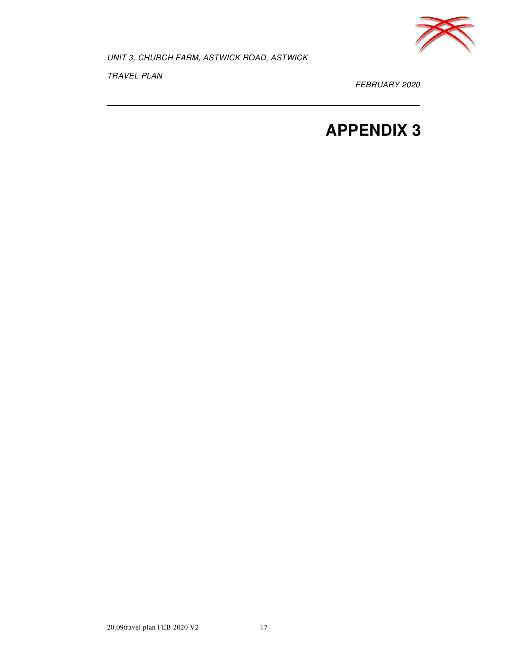

TRAVEL PLAN

FEBRUARY 2020

## **APPENDIX 3**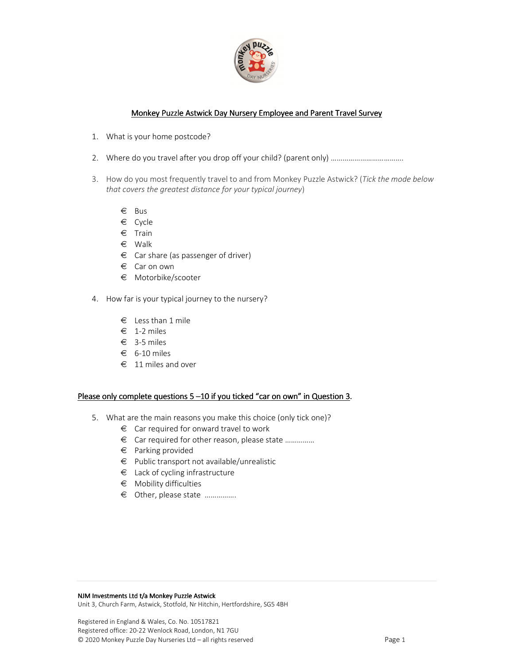

#### Monkey Puzzle Astwick Day Nursery Employee and Parent Travel Survey

- 1. What is your home postcode?
- 2. Where do you travel after you drop off your child? (parent only) ……………………………….
- 3. How do you most frequently travel to and from Monkey Puzzle Astwick? (*Tick the mode below that covers the greatest distance for your typical journey*)
	- € Bus
	- € Cycle
	- € Train
	- € Walk
	- $\epsilon$  Car share (as passenger of driver)
	- € Car on own
	- € Motorbike/scooter
- 4. How far is your typical journey to the nursery?
	- $\epsilon$  Less than 1 mile
	- $\epsilon$  1-2 miles
	- € 3-5 miles
	- $\epsilon$  6-10 miles
	- € 11 miles and over

#### Please only complete questions  $5 - 10$  if you ticked "car on own" in Question 3.

- 5. What are the main reasons you make this choice (only tick one)?
	- $\epsilon$  Car required for onward travel to work
	- € Car required for other reason, please state ……………
	- € Parking provided
	- € Public transport not available/unrealistic
	- $\epsilon$  Lack of cycling infrastructure
	- € Mobility difficulties
	- € Other, please state …………….

#### NJM Investments Ltd t/a Monkey Puzzle Astwick

Unit 3, Church Farm, Astwick, Stotfold, Nr Hitchin, Hertfordshire, SG5 4BH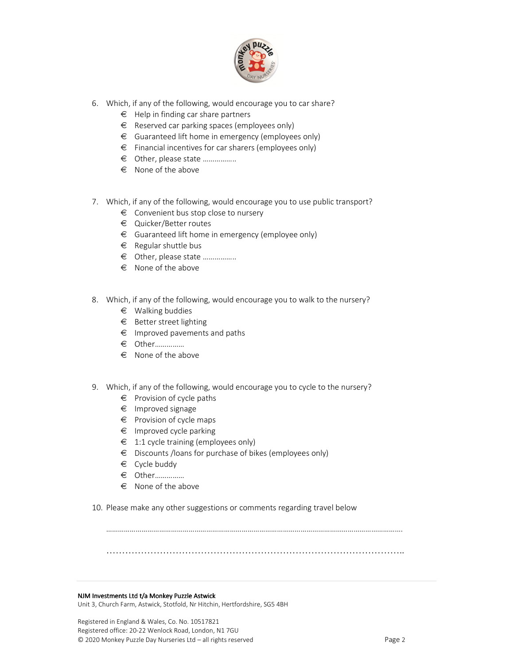

- 6. Which, if any of the following, would encourage you to car share?
	- $\epsilon$  Help in finding car share partners
	- $\epsilon$  Reserved car parking spaces (employees only)
	- $\epsilon$  Guaranteed lift home in emergency (employees only)
	- € Financial incentives for car sharers (employees only)
	- € Other, please state ……………..
	- $\epsilon$  None of the above
- 7. Which, if any of the following, would encourage you to use public transport?
	- € Convenient bus stop close to nursery
	- € Quicker/Better routes
	- $\epsilon$  Guaranteed lift home in emergency (employee only)
	- $\epsilon$  Regular shuttle bus
	- € Other, please state ……………..
	- $\epsilon$  None of the above
- 8. Which, if any of the following, would encourage you to walk to the nursery?
	- $\epsilon$  Walking buddies
	- $\epsilon$  Better street lighting
	- $\epsilon$  Improved pavements and paths
	- € Other……………
	- € None of the above
- 9. Which, if any of the following, would encourage you to cycle to the nursery?
	- $\epsilon$  Provision of cycle paths
	- € Improved signage
	- € Provision of cycle maps
	- $\epsilon$  Improved cycle parking
	- $\epsilon$  1:1 cycle training (employees only)
	- € Discounts /loans for purchase of bikes (employees only)
	- $\epsilon$  Cycle buddy
	- € Other……………
	- $\epsilon$  None of the above
- 10. Please make any other suggestions or comments regarding travel below

…………………………………………………………………………………..

…………………………………………………………………………………………………………………………………….

#### NJM Investments Ltd t/a Monkey Puzzle Astwick

Unit 3, Church Farm, Astwick, Stotfold, Nr Hitchin, Hertfordshire, SG5 4BH

Registered in England & Wales, Co. No. 10517821 Registered office: 20-22 Wenlock Road, London, N1 7GU © 2020 Monkey Puzzle Day Nurseries Ltd – all rights reserved Page 2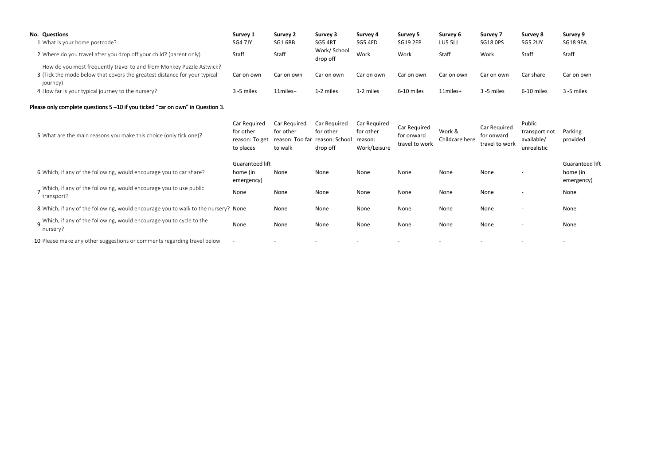| <b>No. Questions</b>                                                                  | Survey 1     | Survey 2     | Survey 3                 | Survey 4     | Survey 5        | Survey 6   | <b>Survey 7</b> | Survey 8       | Survey 9        |
|---------------------------------------------------------------------------------------|--------------|--------------|--------------------------|--------------|-----------------|------------|-----------------|----------------|-----------------|
| 1 What is your home postcode?                                                         | SG4 7JY      | SG1 6BB      | SG5 4RT                  | SG5 4FD      | <b>SG19 2EP</b> | LU5 5LJ    | <b>SG18 OPS</b> | <b>SG5 2UY</b> | <b>SG18 9FA</b> |
| 2 Where do you travel after you drop off your child? (parent only)                    | Staff        | Staff        | Work/ School<br>drop off | Work         | Work            | Staff      | Work            | Staff          | Staff           |
| How do you most frequently travel to and from Monkey Puzzle Astwick?                  |              |              |                          |              |                 |            |                 |                |                 |
| 3 (Tick the mode below that covers the greatest distance for your typical<br>journey) | Car on own   | Car on own   | Car on own               | Car on own   | Car on own      | Car on own | Car on own      | Car share      | Car on own      |
| 4 How far is your typical journey to the nursery?                                     | 3 -5 miles   | 11miles+     | 1-2 miles                | 1-2 miles    | 6-10 miles      | 11miles+   | 3 -5 miles      | 6-10 miles     | 3 -5 miles      |
| Please only complete questions 5 -10 if you ticked "car on own" in Question 3.        |              |              |                          |              |                 |            |                 |                |                 |
|                                                                                       | Car Required | Car Required | Car Required             | Car Required |                 |            |                 | <b>Public</b>  |                 |

| Please only complete questions 5–10 if you ticked "car on own" in Question 3.      |                                                          |                                                                        |                                       |                                                      |                                              |                          |                                              |                                                      |                                           |
|------------------------------------------------------------------------------------|----------------------------------------------------------|------------------------------------------------------------------------|---------------------------------------|------------------------------------------------------|----------------------------------------------|--------------------------|----------------------------------------------|------------------------------------------------------|-------------------------------------------|
| 5 What are the main reasons you make this choice (only tick one)?                  | Car Required<br>for other<br>reason: To get<br>to places | Car Required<br>for other<br>reason: Too far reason: School<br>to walk | Car Required<br>for other<br>drop off | Car Required<br>for other<br>reason:<br>Work/Leisure | Car Required<br>for onward<br>travel to work | Work &<br>Childcare here | Car Required<br>for onward<br>travel to work | Public<br>transport not<br>available/<br>unrealistic | Parking<br>provided                       |
| 6 Which, if any of the following, would encourage you to car share?                | Guaranteed lift<br>home (in<br>emergency)                | None                                                                   | None                                  | None                                                 | None                                         | None                     | None                                         |                                                      | Guaranteed lift<br>home (in<br>emergency) |
| Which, if any of the following, would encourage you to use public<br>transport?    | None                                                     | None                                                                   | None                                  | None                                                 | None                                         | None                     | None                                         |                                                      | None                                      |
| 8 Which, if any of the following, would encourage you to walk to the nursery? None |                                                          | None                                                                   | None                                  | None                                                 | None                                         | None                     | None                                         | $\overline{\phantom{a}}$                             | None                                      |
| q Which, if any of the following, would encourage you to cycle to the<br>nursery?  | None                                                     | None                                                                   | None                                  | None                                                 | None                                         | None                     | None                                         | $\overline{\phantom{0}}$                             | None                                      |
| 10 Please make any other suggestions or comments regarding travel below            |                                                          |                                                                        |                                       | $\overline{\phantom{a}}$                             |                                              |                          | $\overline{\phantom{a}}$                     |                                                      | $\overline{\phantom{0}}$                  |